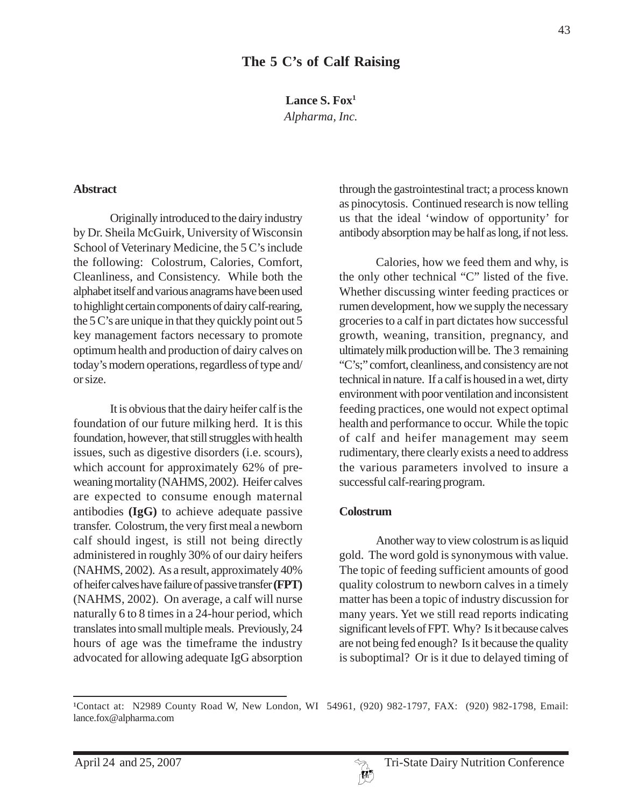**Lance S. Fox1**

*Alpharma, Inc.*

#### **Abstract**

Originally introduced to the dairy industry by Dr. Sheila McGuirk, University of Wisconsin School of Veterinary Medicine, the 5 C's include the following: Colostrum, Calories, Comfort, Cleanliness, and Consistency. While both the alphabet itself and various anagrams have been used to highlight certain components of dairy calf-rearing, the 5 C's are unique in that they quickly point out 5 key management factors necessary to promote optimum health and production of dairy calves on today's modern operations, regardless of type and/ or size.

It is obvious that the dairy heifer calf is the foundation of our future milking herd. It is this foundation, however, that still struggles with health issues, such as digestive disorders (i.e. scours), which account for approximately 62% of preweaning mortality (NAHMS, 2002). Heifer calves are expected to consume enough maternal antibodies **(IgG)** to achieve adequate passive transfer. Colostrum, the very first meal a newborn calf should ingest, is still not being directly administered in roughly 30% of our dairy heifers (NAHMS, 2002). As a result, approximately 40% of heifer calves have failure of passive transfer **(FPT)** (NAHMS, 2002). On average, a calf will nurse naturally 6 to 8 times in a 24-hour period, which translates into small multiple meals. Previously, 24 hours of age was the timeframe the industry advocated for allowing adequate IgG absorption through the gastrointestinal tract; a process known as pinocytosis. Continued research is now telling us that the ideal 'window of opportunity' for antibody absorption may be half as long, if not less.

Calories, how we feed them and why, is the only other technical "C" listed of the five. Whether discussing winter feeding practices or rumen development, how we supply the necessary groceries to a calf in part dictates how successful growth, weaning, transition, pregnancy, and ultimately milk production will be. The 3 remaining "C's;" comfort, cleanliness, and consistency are not technical in nature. If a calf is housed in a wet, dirty environment with poor ventilation and inconsistent feeding practices, one would not expect optimal health and performance to occur. While the topic of calf and heifer management may seem rudimentary, there clearly exists a need to address the various parameters involved to insure a successful calf-rearing program.

#### **Colostrum**

Another way to view colostrum is as liquid gold. The word gold is synonymous with value. The topic of feeding sufficient amounts of good quality colostrum to newborn calves in a timely matter has been a topic of industry discussion for many years. Yet we still read reports indicating significant levels of FPT. Why? Is it because calves are not being fed enough? Is it because the quality is suboptimal? Or is it due to delayed timing of

<sup>&</sup>lt;sup>1</sup>Contact at: N2989 County Road W, New London, WI 54961, (920) 982-1797, FAX: (920) 982-1798, Email: lance.fox@alpharma.com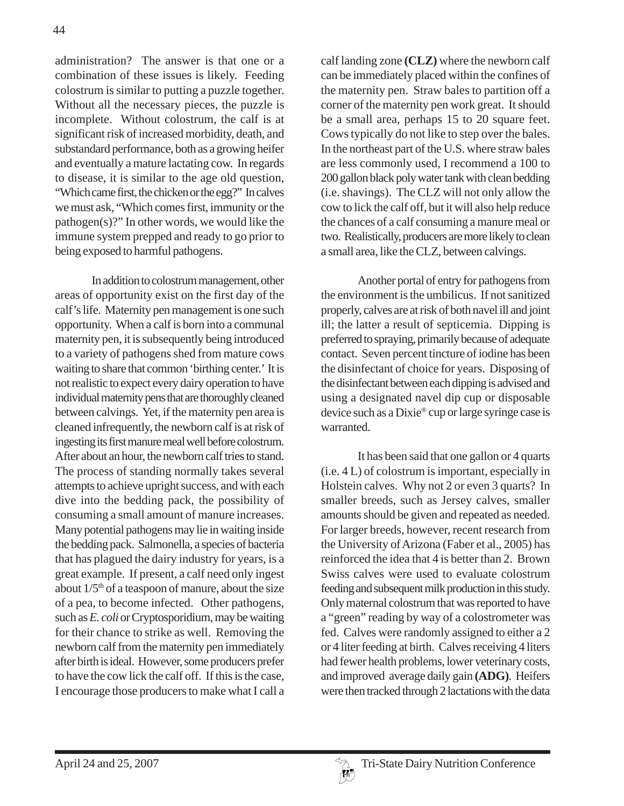administration? The answer is that one or a combination of these issues is likely. Feeding colostrum is similar to putting a puzzle together. Without all the necessary pieces, the puzzle is incomplete. Without colostrum, the calf is at significant risk of increased morbidity, death, and substandard performance, both as a growing heifer and eventually a mature lactating cow. In regards to disease, it is similar to the age old question, "Which came first, the chicken or the egg?" In calves we must ask, "Which comes first, immunity or the pathogen(s)?" In other words, we would like the immune system prepped and ready to go prior to being exposed to harmful pathogens.

In addition to colostrum management, other areas of opportunity exist on the first day of the calf's life. Maternity pen management is one such opportunity. When a calf is born into a communal maternity pen, it is subsequently being introduced to a variety of pathogens shed from mature cows waiting to share that common 'birthing center.' It is not realistic to expect every dairy operation to have individual maternity pens that are thoroughly cleaned between calvings. Yet, if the maternity pen area is cleaned infrequently, the newborn calf is at risk of ingesting its first manure meal well before colostrum. After about an hour, the newborn calf tries to stand. The process of standing normally takes several attempts to achieve upright success, and with each dive into the bedding pack, the possibility of consuming a small amount of manure increases. Many potential pathogens may lie in waiting inside the bedding pack. Salmonella, a species of bacteria that has plagued the dairy industry for years, is a great example. If present, a calf need only ingest about  $1/5<sup>th</sup>$  of a teaspoon of manure, about the size of a pea, to become infected. Other pathogens, such as *E. coli* or Cryptosporidium, may be waiting for their chance to strike as well. Removing the newborn calf from the maternity pen immediately after birth is ideal. However, some producers prefer to have the cow lick the calf off. If this is the case, I encourage those producers to make what I call a

calf landing zone **(CLZ)** where the newborn calf can be immediately placed within the confines of the maternity pen. Straw bales to partition off a corner of the maternity pen work great. It should be a small area, perhaps 15 to 20 square feet. Cows typically do not like to step over the bales. In the northeast part of the U.S. where straw bales are less commonly used, I recommend a 100 to 200 gallon black poly water tank with clean bedding (i.e. shavings). The CLZ will not only allow the cow to lick the calf off, but it will also help reduce the chances of a calf consuming a manure meal or two. Realistically, producers are more likely to clean a small area, like the CLZ, between calvings.

Another portal of entry for pathogens from the environment is the umbilicus. If not sanitized properly, calves are at risk of both navel ill and joint ill; the latter a result of septicemia. Dipping is preferred to spraying, primarily because of adequate contact. Seven percent tincture of iodine has been the disinfectant of choice for years. Disposing of the disinfectant between each dipping is advised and using a designated navel dip cup or disposable device such as a Dixie® cup or large syringe case is warranted.

It has been said that one gallon or 4 quarts (i.e. 4 L) of colostrum is important, especially in Holstein calves. Why not 2 or even 3 quarts? In smaller breeds, such as Jersey calves, smaller amounts should be given and repeated as needed. For larger breeds, however, recent research from the University of Arizona (Faber et al., 2005) has reinforced the idea that 4 is better than 2. Brown Swiss calves were used to evaluate colostrum feeding and subsequent milk production in this study. Only maternal colostrum that was reported to have a "green" reading by way of a colostrometer was fed. Calves were randomly assigned to either a 2 or 4 liter feeding at birth. Calves receiving 4 liters had fewer health problems, lower veterinary costs, and improved average daily gain **(ADG)**. Heifers were then tracked through 2 lactations with the data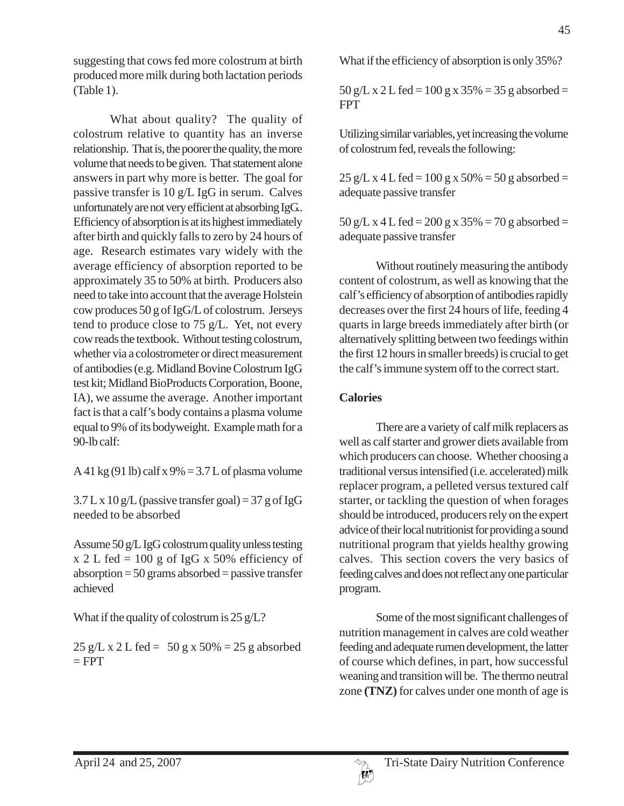suggesting that cows fed more colostrum at birth produced more milk during both lactation periods (Table 1).

What about quality? The quality of colostrum relative to quantity has an inverse relationship. That is, the poorer the quality, the more volume that needs to be given. That statement alone answers in part why more is better. The goal for passive transfer is 10 g/L IgG in serum. Calves unfortunately are not very efficient at absorbing IgG.. Efficiency of absorption is at its highest immediately after birth and quickly falls to zero by 24 hours of age. Research estimates vary widely with the average efficiency of absorption reported to be approximately 35 to 50% at birth. Producers also need to take into account that the average Holstein cow produces 50 g of IgG/L of colostrum. Jerseys tend to produce close to 75 g/L. Yet, not every cow reads the textbook. Without testing colostrum, whether via a colostrometer or direct measurement of antibodies (e.g. Midland Bovine Colostrum IgG test kit; Midland BioProducts Corporation, Boone, IA), we assume the average. Another important fact is that a calf's body contains a plasma volume equal to 9% of its bodyweight. Example math for a 90-lb calf:

A 41 kg (91 lb) calf x  $9\% = 3.7$  L of plasma volume

 $3.7 L x 10 g/L$  (passive transfer goal) = 37 g of IgG needed to be absorbed

Assume 50 g/L IgG colostrum quality unless testing  $x 2 L$  fed = 100 g of IgG x 50% efficiency of  $absorption = 50$  grams absorbed = passive transfer achieved

What if the quality of colostrum is 25 g/L?

 $25 g/L x 2 L fed = 50 g x 50\% = 25 g absorbed$  $=$  FPT

What if the efficiency of absorption is only 35%?

45

 $50 g/L x 2 L$  fed = 100 g x 35% = 35 g absorbed = FPT

Utilizing similar variables, yet increasing the volume of colostrum fed, reveals the following:

 $25 g/L x 4 L fed = 100 g x 50\% = 50 g$  absorbed = adequate passive transfer

 $50 g/L x 4 L fed = 200 g x 35% = 70 g absorbed =$ adequate passive transfer

Without routinely measuring the antibody content of colostrum, as well as knowing that the calf's efficiency of absorption of antibodies rapidly decreases over the first 24 hours of life, feeding 4 quarts in large breeds immediately after birth (or alternatively splitting between two feedings within the first 12 hours in smaller breeds) is crucial to get the calf's immune system off to the correct start.

## **Calories**

There are a variety of calf milk replacers as well as calf starter and grower diets available from which producers can choose. Whether choosing a traditional versus intensified (i.e. accelerated) milk replacer program, a pelleted versus textured calf starter, or tackling the question of when forages should be introduced, producers rely on the expert advice of their local nutritionist for providing a sound nutritional program that yields healthy growing calves. This section covers the very basics of feeding calves and does not reflect any one particular program.

Some of the most significant challenges of nutrition management in calves are cold weather feeding and adequate rumen development, the latter of course which defines, in part, how successful weaning and transition will be. The thermo neutral zone **(TNZ)** for calves under one month of age is

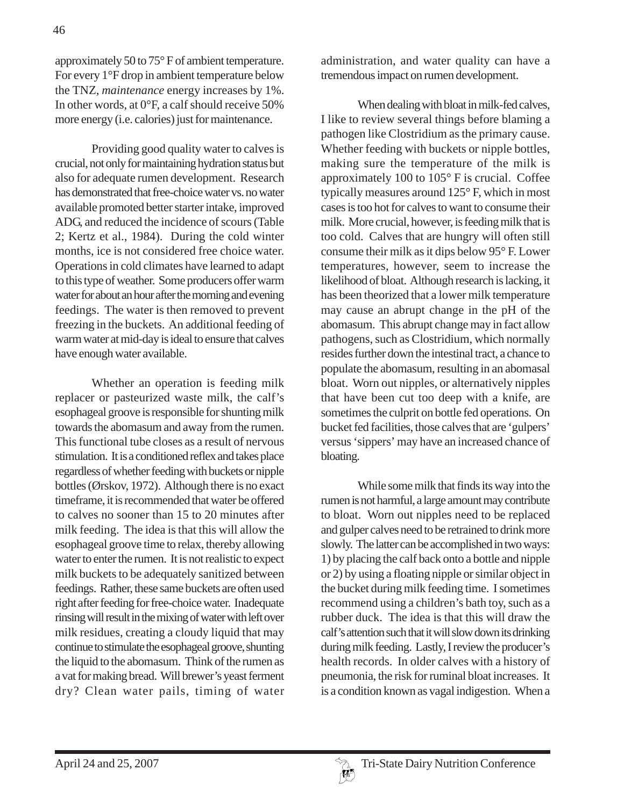approximately 50 to 75° F of ambient temperature. For every 1°F drop in ambient temperature below the TNZ, *maintenance* energy increases by 1%. In other words, at 0°F, a calf should receive 50% more energy (i.e. calories) just for maintenance.

Providing good quality water to calves is crucial, not only for maintaining hydration status but also for adequate rumen development. Research has demonstrated that free-choice water vs. no water available promoted better starter intake, improved ADG, and reduced the incidence of scours (Table 2; Kertz et al., 1984). During the cold winter months, ice is not considered free choice water. Operations in cold climates have learned to adapt to this type of weather. Some producers offer warm water for about an hour after the morning and evening feedings. The water is then removed to prevent freezing in the buckets. An additional feeding of warm water at mid-day is ideal to ensure that calves have enough water available.

Whether an operation is feeding milk replacer or pasteurized waste milk, the calf's esophageal groove is responsible for shunting milk towards the abomasum and away from the rumen. This functional tube closes as a result of nervous stimulation. It is a conditioned reflex and takes place regardless of whether feeding with buckets or nipple bottles (Ørskov, 1972). Although there is no exact timeframe, it is recommended that water be offered to calves no sooner than 15 to 20 minutes after milk feeding. The idea is that this will allow the esophageal groove time to relax, thereby allowing water to enter the rumen. It is not realistic to expect milk buckets to be adequately sanitized between feedings. Rather, these same buckets are often used right after feeding for free-choice water. Inadequate rinsing will result in the mixing of water with left over milk residues, creating a cloudy liquid that may continue to stimulate the esophageal groove, shunting the liquid to the abomasum. Think of the rumen as a vat for making bread. Will brewer's yeast ferment dry? Clean water pails, timing of water

administration, and water quality can have a tremendous impact on rumen development.

When dealing with bloat in milk-fed calves, I like to review several things before blaming a pathogen like Clostridium as the primary cause. Whether feeding with buckets or nipple bottles, making sure the temperature of the milk is approximately 100 to 105° F is crucial. Coffee typically measures around 125° F, which in most cases is too hot for calves to want to consume their milk. More crucial, however, is feeding milk that is too cold. Calves that are hungry will often still consume their milk as it dips below 95° F. Lower temperatures, however, seem to increase the likelihood of bloat. Although research is lacking, it has been theorized that a lower milk temperature may cause an abrupt change in the pH of the abomasum. This abrupt change may in fact allow pathogens, such as Clostridium, which normally resides further down the intestinal tract, a chance to populate the abomasum, resulting in an abomasal bloat. Worn out nipples, or alternatively nipples that have been cut too deep with a knife, are sometimes the culprit on bottle fed operations. On bucket fed facilities, those calves that are 'gulpers' versus 'sippers' may have an increased chance of bloating.

While some milk that finds its way into the rumen is not harmful, a large amount may contribute to bloat. Worn out nipples need to be replaced and gulper calves need to be retrained to drink more slowly. The latter can be accomplished in two ways: 1) by placing the calf back onto a bottle and nipple or 2) by using a floating nipple or similar object in the bucket during milk feeding time. I sometimes recommend using a children's bath toy, such as a rubber duck. The idea is that this will draw the calf's attention such that it will slow down its drinking during milk feeding. Lastly, I review the producer's health records. In older calves with a history of pneumonia, the risk for ruminal bloat increases. It is a condition known as vagal indigestion. When a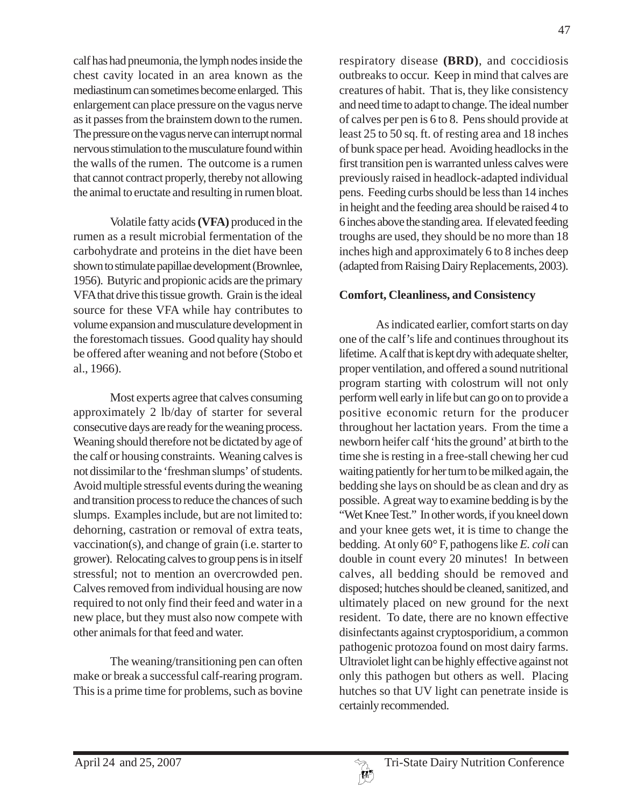calf has had pneumonia, the lymph nodes inside the chest cavity located in an area known as the mediastinum can sometimes become enlarged. This enlargement can place pressure on the vagus nerve as it passes from the brainstem down to the rumen. The pressure on the vagus nerve can interrupt normal nervous stimulation to the musculature found within the walls of the rumen. The outcome is a rumen that cannot contract properly, thereby not allowing the animal to eructate and resulting in rumen bloat.

Volatile fatty acids **(VFA)** produced in the rumen as a result microbial fermentation of the carbohydrate and proteins in the diet have been shown to stimulate papillae development (Brownlee, 1956). Butyric and propionic acids are the primary VFA that drive this tissue growth. Grain is the ideal source for these VFA while hay contributes to volume expansion and musculature development in the forestomach tissues. Good quality hay should be offered after weaning and not before (Stobo et al., 1966).

Most experts agree that calves consuming approximately 2 lb/day of starter for several consecutive days are ready for the weaning process. Weaning should therefore not be dictated by age of the calf or housing constraints. Weaning calves is not dissimilar to the 'freshman slumps' of students. Avoid multiple stressful events during the weaning and transition process to reduce the chances of such slumps. Examples include, but are not limited to: dehorning, castration or removal of extra teats, vaccination(s), and change of grain (i.e. starter to grower). Relocating calves to group pens is in itself stressful; not to mention an overcrowded pen. Calves removed from individual housing are now required to not only find their feed and water in a new place, but they must also now compete with other animals for that feed and water.

The weaning/transitioning pen can often make or break a successful calf-rearing program. This is a prime time for problems, such as bovine

respiratory disease **(BRD)**, and coccidiosis outbreaks to occur. Keep in mind that calves are creatures of habit. That is, they like consistency and need time to adapt to change. The ideal number of calves per pen is 6 to 8. Pens should provide at least 25 to 50 sq. ft. of resting area and 18 inches of bunk space per head. Avoiding headlocks in the first transition pen is warranted unless calves were previously raised in headlock-adapted individual pens. Feeding curbs should be less than 14 inches in height and the feeding area should be raised 4 to 6 inches above the standing area. If elevated feeding troughs are used, they should be no more than 18 inches high and approximately 6 to 8 inches deep (adapted from Raising Dairy Replacements, 2003).

### **Comfort, Cleanliness, and Consistency**

As indicated earlier, comfort starts on day one of the calf's life and continues throughout its lifetime. A calf that is kept dry with adequate shelter, proper ventilation, and offered a sound nutritional program starting with colostrum will not only perform well early in life but can go on to provide a positive economic return for the producer throughout her lactation years. From the time a newborn heifer calf 'hits the ground' at birth to the time she is resting in a free-stall chewing her cud waiting patiently for her turn to be milked again, the bedding she lays on should be as clean and dry as possible. A great way to examine bedding is by the "Wet Knee Test." In other words, if you kneel down and your knee gets wet, it is time to change the bedding. At only 60° F, pathogens like *E. coli* can double in count every 20 minutes! In between calves, all bedding should be removed and disposed; hutches should be cleaned, sanitized, and ultimately placed on new ground for the next resident. To date, there are no known effective disinfectants against cryptosporidium, a common pathogenic protozoa found on most dairy farms. Ultraviolet light can be highly effective against not only this pathogen but others as well. Placing hutches so that UV light can penetrate inside is certainly recommended.

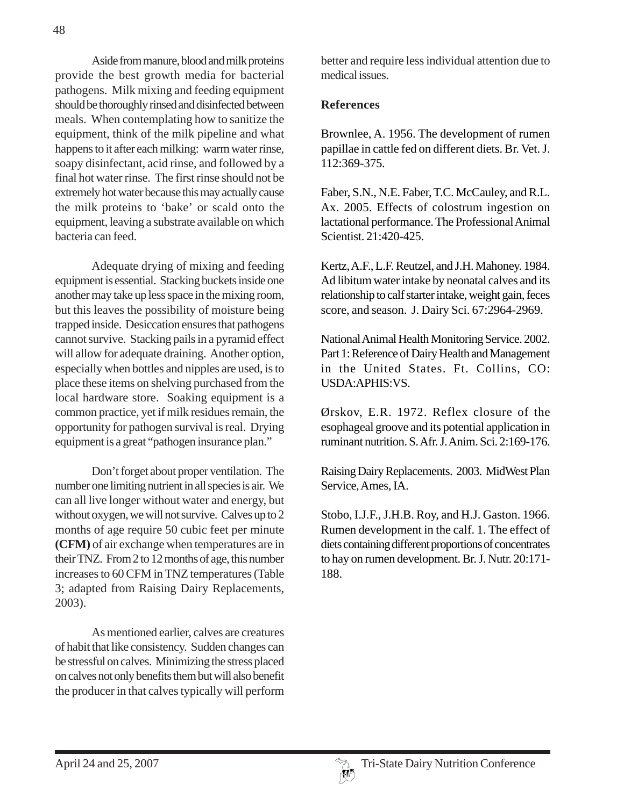Aside from manure, blood and milk proteins provide the best growth media for bacterial pathogens. Milk mixing and feeding equipment should be thoroughly rinsed and disinfected between meals. When contemplating how to sanitize the equipment, think of the milk pipeline and what happens to it after each milking: warm water rinse, soapy disinfectant, acid rinse, and followed by a final hot water rinse. The first rinse should not be extremely hot water because this may actually cause the milk proteins to 'bake' or scald onto the equipment, leaving a substrate available on which bacteria can feed.

Adequate drying of mixing and feeding equipment is essential. Stacking buckets inside one another may take up less space in the mixing room, but this leaves the possibility of moisture being trapped inside. Desiccation ensures that pathogens cannot survive. Stacking pails in a pyramid effect will allow for adequate draining. Another option, especially when bottles and nipples are used, is to place these items on shelving purchased from the local hardware store. Soaking equipment is a common practice, yet if milk residues remain, the opportunity for pathogen survival is real. Drying equipment is a great "pathogen insurance plan."

Don't forget about proper ventilation. The number one limiting nutrient in all species is air. We can all live longer without water and energy, but without oxygen, we will not survive. Calves up to 2 months of age require 50 cubic feet per minute **(CFM)** of air exchange when temperatures are in their TNZ. From 2 to 12 months of age, this number increases to 60 CFM in TNZ temperatures (Table 3; adapted from Raising Dairy Replacements, 2003).

As mentioned earlier, calves are creatures of habit that like consistency. Sudden changes can be stressful on calves. Minimizing the stress placed on calves not only benefits them but will also benefit the producer in that calves typically will perform better and require less individual attention due to medical issues.

# **References**

Brownlee, A. 1956. The development of rumen papillae in cattle fed on different diets. Br. Vet. J. 112:369-375.

Faber, S.N., N.E. Faber, T.C. McCauley, and R.L. Ax. 2005. Effects of colostrum ingestion on lactational performance. The Professional Animal Scientist. 21:420-425.

Kertz, A.F., L.F. Reutzel, and J.H. Mahoney. 1984. Ad libitum water intake by neonatal calves and its relationship to calf starter intake, weight gain, feces score, and season. J. Dairy Sci. 67:2964-2969.

National Animal Health Monitoring Service. 2002. Part 1: Reference of Dairy Health and Management in the United States. Ft. Collins, CO: USDA:APHIS:VS.

Ørskov, E.R. 1972. Reflex closure of the esophageal groove and its potential application in ruminant nutrition. S. Afr. J. Anim. Sci. 2:169-176.

Raising Dairy Replacements. 2003. MidWest Plan Service, Ames, IA.

Stobo, I.J.F., J.H.B. Roy, and H.J. Gaston. 1966. Rumen development in the calf. 1. The effect of diets containing different proportions of concentrates to hay on rumen development. Br. J. Nutr. 20:171- 188.